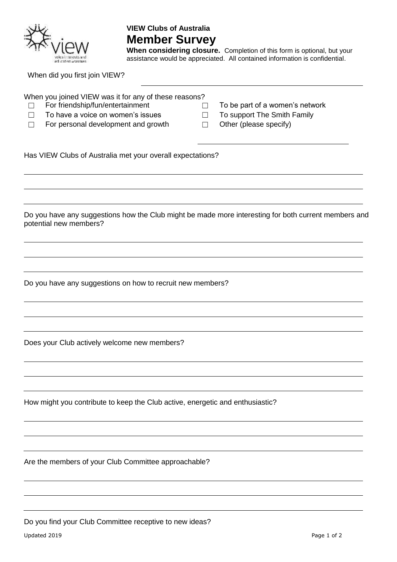

## **VIEW Clubs of Australia Member Survey**

When considering closure. Completion of this form is optional, but your assistance would be appreciated. All contained information is confidential.

When did you first join VIEW?

| When you joined VIEW was it for any of these reasons?<br>For friendship/fun/entertainment<br>$\vert \ \ \vert$<br>To have a voice on women's issues<br>For personal development and growth | To be part of a women's network<br>$\overline{\phantom{a}}$<br>To support The Smith Family<br>$\vert \ \ \vert$<br>Other (please specify) |
|--------------------------------------------------------------------------------------------------------------------------------------------------------------------------------------------|-------------------------------------------------------------------------------------------------------------------------------------------|
| Has VIEW Clubs of Australia met your overall expectations?                                                                                                                                 |                                                                                                                                           |
| potential new members?                                                                                                                                                                     | Do you have any suggestions how the Club might be made more interesting for both current members and                                      |
| Do you have any suggestions on how to recruit new members?                                                                                                                                 |                                                                                                                                           |
| Does your Club actively welcome new members?                                                                                                                                               |                                                                                                                                           |
| How might you contribute to keep the Club active, energetic and enthusiastic?                                                                                                              |                                                                                                                                           |
| Are the members of your Club Committee approachable?                                                                                                                                       |                                                                                                                                           |
|                                                                                                                                                                                            |                                                                                                                                           |